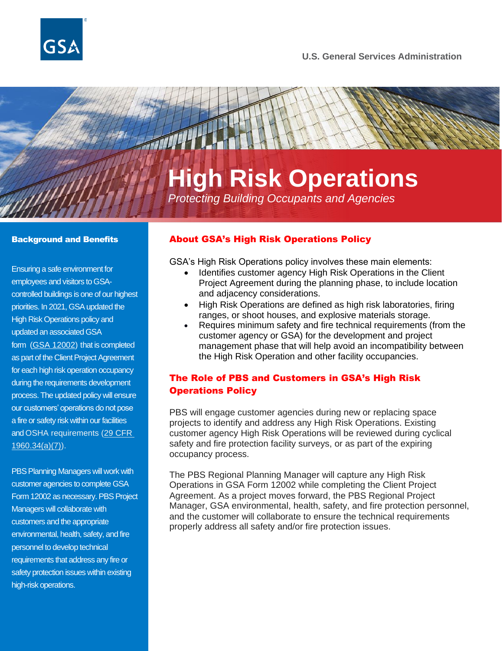

#### **U.S. General Services Administration**

# **High Risk Operations**

*Protecting Building Occupants and Agencies*

#### Background and Benefits

Ensuring a safe environment for employees and visitors to GSAcontrolled buildings is one of our highest priorities. In 2021, GSA updated the High Risk Operations policy and updated an associated GSA form [\(GSA 12002\)](https://www.gsa.gov/forms-library/high-risk-operation) that is completed as part of the Client Project Agreement for each high risk operation occupancy during the requirements development process. The updated policy will ensure our customers' operations do not pose a fire or safety risk within our facilities and OSHA requirements [\(29 CFR](https://www.osha.gov/laws-regs/regulations/standardnumber/1960/1960.34)  [1960.34\(a\)\(7\)\)](https://www.osha.gov/laws-regs/regulations/standardnumber/1960/1960.34).

PBS Planning Managers will work with customer agencies to complete GSA Form 12002 as necessary. PBS Project Managers will collaborate with customers and the appropriate environmental, health, safety, and fire personnel to develop technical requirements that address any fire or safety protection issues within existing high-risk operations.

#### About GSA's High Risk Operations Policy

GSA's High Risk Operations policy involves these main elements:

- Identifies customer agency High Risk Operations in the Client Project Agreement during the planning phase, to include location and adjacency considerations.
- High Risk Operations are defined as high risk laboratories, firing ranges, or shoot houses, and explosive materials storage.
- Requires minimum safety and fire technical requirements (from the customer agency or GSA) for the development and project management phase that will help avoid an incompatibility between the High Risk Operation and other facility occupancies.

## The Role of PBS and Customers in GSA's High Risk Operations Policy

PBS will engage customer agencies during new or replacing space projects to identify and address any High Risk Operations. Existing customer agency High Risk Operations will be reviewed during cyclical safety and fire protection facility surveys, or as part of the expiring occupancy process.

The PBS Regional Planning Manager will capture any High Risk Operations in GSA Form 12002 while completing the Client Project Agreement. As a project moves forward, the PBS Regional Project Manager, GSA environmental, health, safety, and fire protection personnel, and the customer will collaborate to ensure the technical requirements properly address all safety and/or fire protection issues.